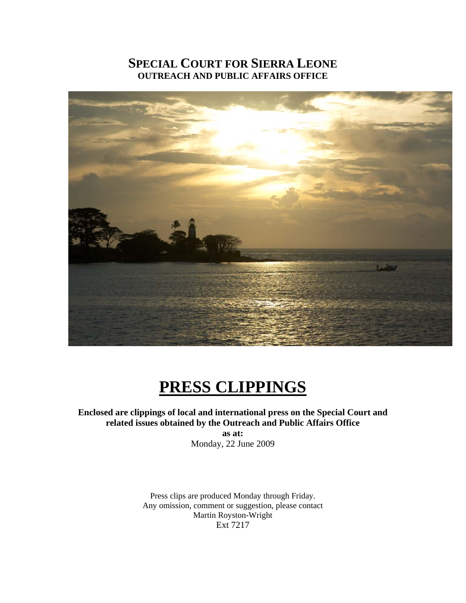## **SPECIAL COURT FOR SIERRA LEONE OUTREACH AND PUBLIC AFFAIRS OFFICE**



# **PRESS CLIPPINGS**

## **Enclosed are clippings of local and international press on the Special Court and related issues obtained by the Outreach and Public Affairs Office**

**as at:**  Monday, 22 June 2009

Press clips are produced Monday through Friday. Any omission, comment or suggestion, please contact Martin Royston-Wright Ext 7217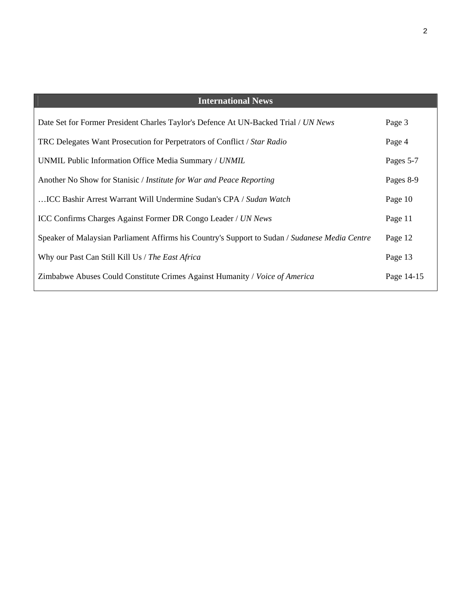| <b>International News</b>                                                                      |            |
|------------------------------------------------------------------------------------------------|------------|
| Date Set for Former President Charles Taylor's Defence At UN-Backed Trial / UN News            | Page 3     |
| TRC Delegates Want Prosecution for Perpetrators of Conflict / Star Radio                       | Page 4     |
| UNMIL Public Information Office Media Summary / UNMIL                                          | Pages 5-7  |
| Another No Show for Stanisic / <i>Institute for War and Peace Reporting</i>                    | Pages 8-9  |
| ICC Bashir Arrest Warrant Will Undermine Sudan's CPA / Sudan Watch                             | Page 10    |
| <b>ICC Confirms Charges Against Former DR Congo Leader / UN News</b>                           | Page 11    |
| Speaker of Malaysian Parliament Affirms his Country's Support to Sudan / Sudanese Media Centre | Page 12    |
| Why our Past Can Still Kill Us / The East Africa                                               | Page 13    |
| Zimbabwe Abuses Could Constitute Crimes Against Humanity / Voice of America                    | Page 14-15 |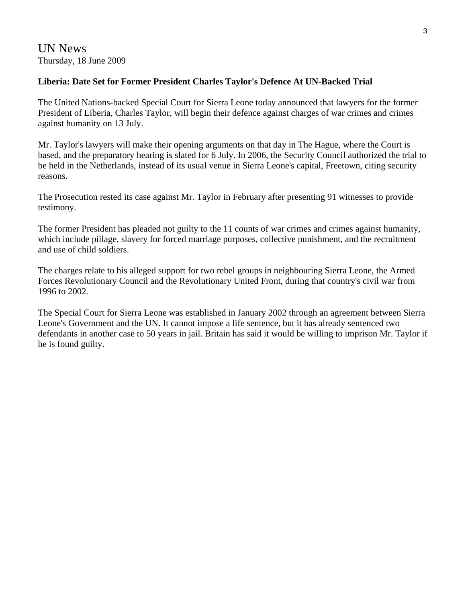## UN News Thursday, 18 June 2009

## **Liberia: Date Set for Former President Charles Taylor's Defence At UN-Backed Trial**

The United Nations-backed Special Court for Sierra Leone today announced that lawyers for the former President of Liberia, Charles Taylor, will begin their defence against charges of war crimes and crimes against humanity on 13 July.

Mr. Taylor's lawyers will make their opening arguments on that day in The Hague, where the Court is based, and the preparatory hearing is slated for 6 July. In 2006, the Security Council authorized the trial to be held in the Netherlands, instead of its usual venue in Sierra Leone's capital, Freetown, citing security reasons.

The Prosecution rested its case against Mr. Taylor in February after presenting 91 witnesses to provide testimony.

The former President has pleaded not guilty to the 11 counts of war crimes and crimes against humanity, which include pillage, slavery for forced marriage purposes, collective punishment, and the recruitment and use of child soldiers.

The charges relate to his alleged support for two rebel groups in neighbouring Sierra Leone, the Armed Forces Revolutionary Council and the Revolutionary United Front, during that country's civil war from 1996 to 2002.

The Special Court for Sierra Leone was established in January 2002 through an agreement between Sierra Leone's Government and the UN. It cannot impose a life sentence, but it has already sentenced two defendants in another case to 50 years in jail. Britain has said it would be willing to imprison Mr. Taylor if he is found guilty.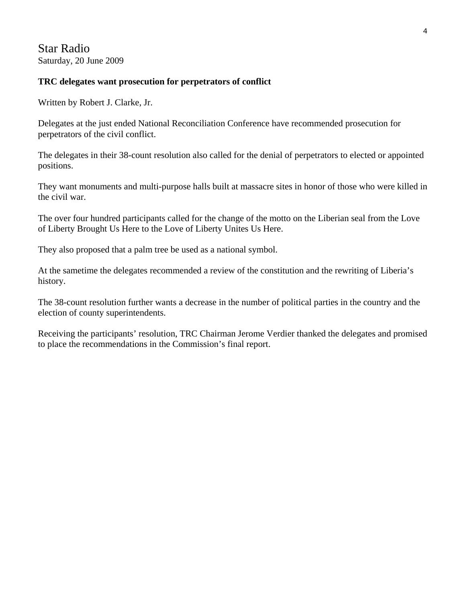Star Radio Saturday, 20 June 2009

#### **TRC delegates want prosecution for perpetrators of conflict**

Written by Robert J. Clarke, Jr.

Delegates at the just ended National Reconciliation Conference have recommended prosecution for perpetrators of the civil conflict.

The delegates in their 38-count resolution also called for the denial of perpetrators to elected or appointed positions.

They want monuments and multi-purpose halls built at massacre sites in honor of those who were killed in the civil war.

The over four hundred participants called for the change of the motto on the Liberian seal from the Love of Liberty Brought Us Here to the Love of Liberty Unites Us Here.

They also proposed that a palm tree be used as a national symbol.

At the sametime the delegates recommended a review of the constitution and the rewriting of Liberia's history.

The 38-count resolution further wants a decrease in the number of political parties in the country and the election of county superintendents.

Receiving the participants' resolution, TRC Chairman Jerome Verdier thanked the delegates and promised to place the recommendations in the Commission's final report.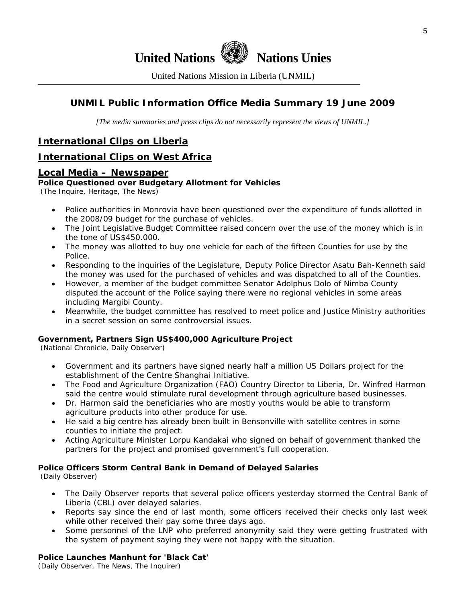

**United Nations We Nations Unies** 

United Nations Mission in Liberia (UNMIL)

## **UNMIL Public Information Office Media Summary 19 June 2009**

*[The media summaries and press clips do not necessarily represent the views of UNMIL.]* 

## **International Clips on Liberia**

## **International Clips on West Africa**

#### **Local Media – Newspaper**

#### **Police Questioned over Budgetary Allotment for Vehicles**

(The Inquire, Heritage, The News)

- Police authorities in Monrovia have been questioned over the expenditure of funds allotted in the 2008/09 budget for the purchase of vehicles.
- The Joint Legislative Budget Committee raised concern over the use of the money which is in the tone of US\$450.000.
- The money was allotted to buy one vehicle for each of the fifteen Counties for use by the Police.
- Responding to the inquiries of the Legislature, Deputy Police Director Asatu Bah-Kenneth said the money was used for the purchased of vehicles and was dispatched to all of the Counties.
- However, a member of the budget committee Senator Adolphus Dolo of Nimba County disputed the account of the Police saying there were no regional vehicles in some areas including Margibi County.
- Meanwhile, the budget committee has resolved to meet police and Justice Ministry authorities in a secret session on some controversial issues.

#### **Government, Partners Sign US\$400,000 Agriculture Project**

(National Chronicle, Daily Observer)

- Government and its partners have signed nearly half a million US Dollars project for the establishment of the Centre Shanghai Initiative.
- The Food and Agriculture Organization (FAO) Country Director to Liberia, Dr. Winfred Harmon said the centre would stimulate rural development through agriculture based businesses.
- Dr. Harmon said the beneficiaries who are mostly youths would be able to transform agriculture products into other produce for use.
- He said a big centre has already been built in Bensonville with satellite centres in some counties to initiate the project.
- Acting Agriculture Minister Lorpu Kandakai who signed on behalf of government thanked the partners for the project and promised government's full cooperation.

#### **Police Officers Storm Central Bank in Demand of Delayed Salaries**

(Daily Observer)

- The Daily Observer reports that several police officers yesterday stormed the Central Bank of Liberia (CBL) over delayed salaries.
- Reports say since the end of last month, some officers received their checks only last week while other received their pay some three days ago.
- Some personnel of the LNP who preferred anonymity said they were getting frustrated with the system of payment saying they were not happy with the situation.

#### **Police Launches Manhunt for 'Black Cat'**

(Daily Observer, The News, The Inquirer)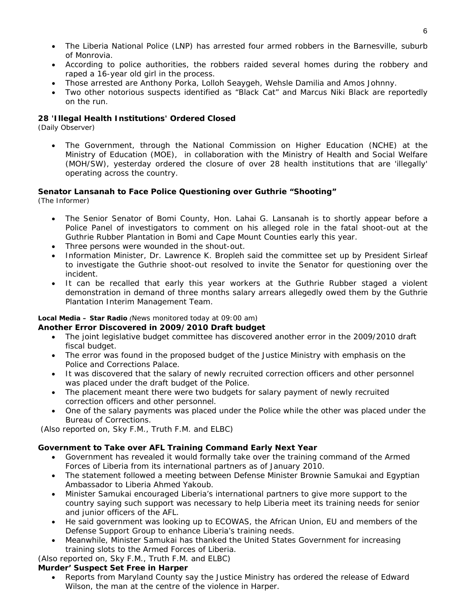- The Liberia National Police (LNP) has arrested four armed robbers in the Barnesville, suburb of Monrovia.
- According to police authorities, the robbers raided several homes during the robbery and raped a 16-year old girl in the process.
- Those arrested are Anthony Porka, Lolloh Seaygeh, Wehsle Damilia and Amos Johnny.
- Two other notorious suspects identified as "Black Cat" and Marcus Niki Black are reportedly on the run.

#### **28 'Illegal Health Institutions' Ordered Closed**

(Daily Observer)

• The Government, through the National Commission on Higher Education (NCHE) at the Ministry of Education (MOE), in collaboration with the Ministry of Health and Social Welfare (MOH/SW), yesterday ordered the closure of over 28 health institutions that are 'illegally' operating across the country.

#### **Senator Lansanah to Face Police Questioning over Guthrie "Shooting"**

(The Informer)

- The Senior Senator of Bomi County, Hon. Lahai G. Lansanah is to shortly appear before a Police Panel of investigators to comment on his alleged role in the fatal shoot-out at the Guthrie Rubber Plantation in Bomi and Cape Mount Counties early this year.
- Three persons were wounded in the shout-out.
- Information Minister, Dr. Lawrence K. Bropleh said the committee set up by President Sirleaf to investigate the Guthrie shoot-out resolved to invite the Senator for questioning over the incident.
- It can be recalled that early this year workers at the Guthrie Rubber staged a violent demonstration in demand of three months salary arrears allegedly owed them by the Guthrie Plantation Interim Management Team.

#### **Local Media – Star Radio** *(News monitored today at 09:00 am)*  **Another Error Discovered in 2009/2010 Draft budget**

- The joint legislative budget committee has discovered another error in the 2009/2010 draft fiscal budget.
- The error was found in the proposed budget of the Justice Ministry with emphasis on the Police and Corrections Palace.
- It was discovered that the salary of newly recruited correction officers and other personnel was placed under the draft budget of the Police.
- The placement meant there were two budgets for salary payment of newly recruited correction officers and other personnel.
- One of the salary payments was placed under the Police while the other was placed under the Bureau of Corrections.

(*Also reported on, Sky F.M., Truth F.M. and ELBC*)

#### **Government to Take over AFL Training Command Early Next Year**

- Government has revealed it would formally take over the training command of the Armed Forces of Liberia from its international partners as of January 2010.
- The statement followed a meeting between Defense Minister Brownie Samukai and Egyptian Ambassador to Liberia Ahmed Yakoub.
- Minister Samukai encouraged Liberia's international partners to give more support to the country saying such support was necessary to help Liberia meet its training needs for senior and junior officers of the AFL.
- He said government was looking up to ECOWAS, the African Union, EU and members of the Defense Support Group to enhance Liberia's training needs.
- Meanwhile, Minister Samukai has thanked the United States Government for increasing training slots to the Armed Forces of Liberia.

(*Also reported on, Sky F.M., Truth F.M. and ELBC*)

#### **Murder' Suspect Set Free in Harper**

• Reports from Maryland County say the Justice Ministry has ordered the release of Edward Wilson, the man at the centre of the violence in Harper.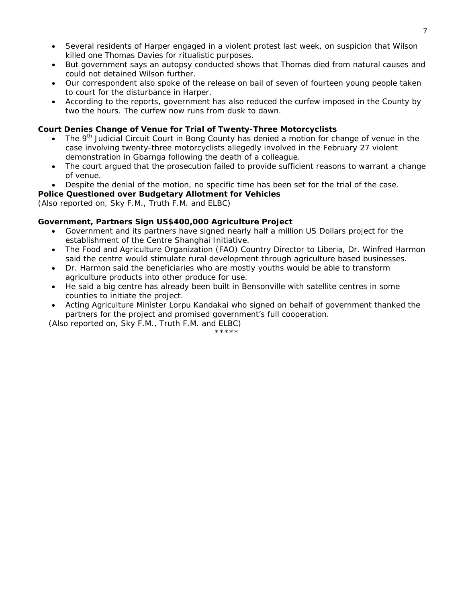- Several residents of Harper engaged in a violent protest last week, on suspicion that Wilson killed one Thomas Davies for ritualistic purposes.
- But government says an autopsy conducted shows that Thomas died from natural causes and could not detained Wilson further.
- Our correspondent also spoke of the release on bail of seven of fourteen young people taken to court for the disturbance in Harper.
- According to the reports, government has also reduced the curfew imposed in the County by two the hours. The curfew now runs from dusk to dawn.

#### **Court Denies Change of Venue for Trial of Twenty-Three Motorcyclists**

- The 9<sup>th</sup> Judicial Circuit Court in Bong County has denied a motion for change of venue in the case involving twenty-three motorcyclists allegedly involved in the February 27 violent demonstration in Gbarnga following the death of a colleague.
- The court argued that the prosecution failed to provide sufficient reasons to warrant a change of venue.
- Despite the denial of the motion, no specific time has been set for the trial of the case.

#### **Police Questioned over Budgetary Allotment for Vehicles**

(*Also reported on, Sky F.M., Truth F.M. and ELBC*)

#### **Government, Partners Sign US\$400,000 Agriculture Project**

- Government and its partners have signed nearly half a million US Dollars project for the establishment of the Centre Shanghai Initiative.
- The Food and Agriculture Organization (FAO) Country Director to Liberia, Dr. Winfred Harmon said the centre would stimulate rural development through agriculture based businesses.
- Dr. Harmon said the beneficiaries who are mostly youths would be able to transform agriculture products into other produce for use.
- He said a big centre has already been built in Bensonville with satellite centres in some counties to initiate the project.
- Acting Agriculture Minister Lorpu Kandakai who signed on behalf of government thanked the partners for the project and promised government's full cooperation.

(*Also reported on, Sky F.M., Truth F.M. and ELBC*)

\*\*\*\*\*\*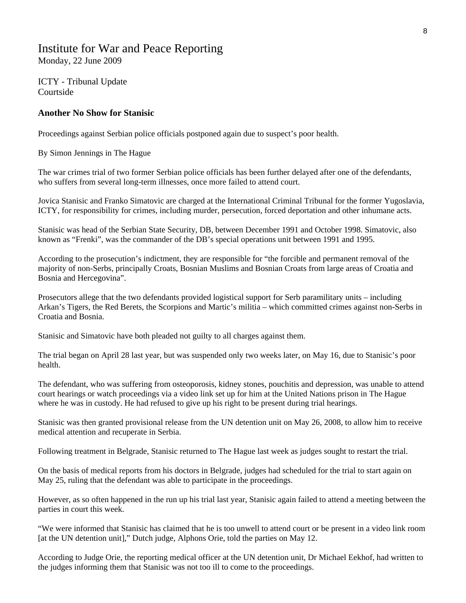## Institute for War and Peace Reporting Monday, 22 June 2009

ICTY - Tribunal Update Courtside

#### **Another No Show for Stanisic**

Proceedings against Serbian police officials postponed again due to suspect's poor health.

By Simon Jennings in The Hague

The war crimes trial of two former Serbian police officials has been further delayed after one of the defendants, who suffers from several long-term illnesses, once more failed to attend court.

Jovica Stanisic and Franko Simatovic are charged at the International Criminal Tribunal for the former Yugoslavia, ICTY, for responsibility for crimes, including murder, persecution, forced deportation and other inhumane acts.

Stanisic was head of the Serbian State Security, DB, between December 1991 and October 1998. Simatovic, also known as "Frenki", was the commander of the DB's special operations unit between 1991 and 1995.

According to the prosecution's indictment, they are responsible for "the forcible and permanent removal of the majority of non-Serbs, principally Croats, Bosnian Muslims and Bosnian Croats from large areas of Croatia and Bosnia and Hercegovina".

Prosecutors allege that the two defendants provided logistical support for Serb paramilitary units – including Arkan's Tigers, the Red Berets, the Scorpions and Martic's militia – which committed crimes against non-Serbs in Croatia and Bosnia.

Stanisic and Simatovic have both pleaded not guilty to all charges against them.

The trial began on April 28 last year, but was suspended only two weeks later, on May 16, due to Stanisic's poor health.

The defendant, who was suffering from osteoporosis, kidney stones, pouchitis and depression, was unable to attend court hearings or watch proceedings via a video link set up for him at the United Nations prison in The Hague where he was in custody. He had refused to give up his right to be present during trial hearings.

Stanisic was then granted provisional release from the UN detention unit on May 26, 2008, to allow him to receive medical attention and recuperate in Serbia.

Following treatment in Belgrade, Stanisic returned to The Hague last week as judges sought to restart the trial.

On the basis of medical reports from his doctors in Belgrade, judges had scheduled for the trial to start again on May 25, ruling that the defendant was able to participate in the proceedings.

However, as so often happened in the run up his trial last year, Stanisic again failed to attend a meeting between the parties in court this week.

"We were informed that Stanisic has claimed that he is too unwell to attend court or be present in a video link room [at the UN detention unit]," Dutch judge, Alphons Orie, told the parties on May 12.

According to Judge Orie, the reporting medical officer at the UN detention unit, Dr Michael Eekhof, had written to the judges informing them that Stanisic was not too ill to come to the proceedings.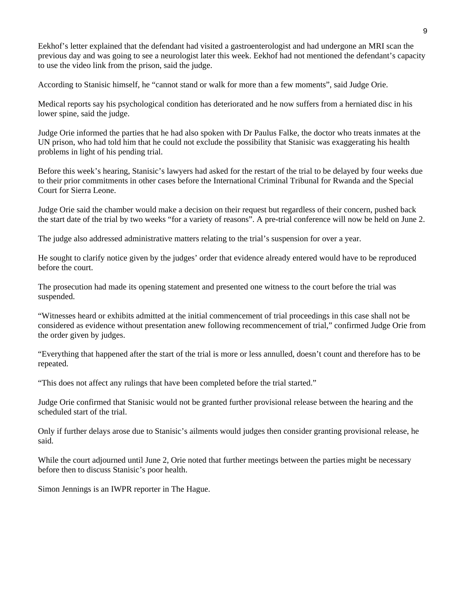Eekhof's letter explained that the defendant had visited a gastroenterologist and had undergone an MRI scan the previous day and was going to see a neurologist later this week. Eekhof had not mentioned the defendant's capacity to use the video link from the prison, said the judge.

According to Stanisic himself, he "cannot stand or walk for more than a few moments", said Judge Orie.

Medical reports say his psychological condition has deteriorated and he now suffers from a herniated disc in his lower spine, said the judge.

Judge Orie informed the parties that he had also spoken with Dr Paulus Falke, the doctor who treats inmates at the UN prison, who had told him that he could not exclude the possibility that Stanisic was exaggerating his health problems in light of his pending trial.

Before this week's hearing, Stanisic's lawyers had asked for the restart of the trial to be delayed by four weeks due to their prior commitments in other cases before the International Criminal Tribunal for Rwanda and the Special Court for Sierra Leone.

Judge Orie said the chamber would make a decision on their request but regardless of their concern, pushed back the start date of the trial by two weeks "for a variety of reasons". A pre-trial conference will now be held on June 2.

The judge also addressed administrative matters relating to the trial's suspension for over a year.

He sought to clarify notice given by the judges' order that evidence already entered would have to be reproduced before the court.

The prosecution had made its opening statement and presented one witness to the court before the trial was suspended.

"Witnesses heard or exhibits admitted at the initial commencement of trial proceedings in this case shall not be considered as evidence without presentation anew following recommencement of trial," confirmed Judge Orie from the order given by judges.

"Everything that happened after the start of the trial is more or less annulled, doesn't count and therefore has to be repeated.

"This does not affect any rulings that have been completed before the trial started."

Judge Orie confirmed that Stanisic would not be granted further provisional release between the hearing and the scheduled start of the trial.

Only if further delays arose due to Stanisic's ailments would judges then consider granting provisional release, he said.

While the court adjourned until June 2, Orie noted that further meetings between the parties might be necessary before then to discuss Stanisic's poor health.

Simon Jennings is an IWPR reporter in The Hague.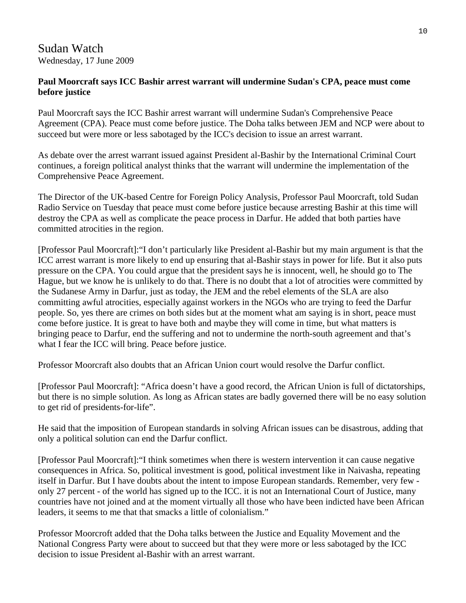## Sudan Watch Wednesday, 17 June 2009

## **Paul Moorcraft says ICC Bashir arrest warrant will undermine Sudan's CPA, peace must come before justice**

Paul Moorcraft says the ICC Bashir arrest warrant will undermine Sudan's Comprehensive Peace Agreement (CPA). Peace must come before justice. The Doha talks between JEM and NCP were about to succeed but were more or less sabotaged by the ICC's decision to issue an arrest warrant.

As debate over the arrest warrant issued against President al-Bashir by the International Criminal Court continues, a foreign political analyst thinks that the warrant will undermine the implementation of the Comprehensive Peace Agreement.

The Director of the UK-based Centre for Foreign Policy Analysis, Professor Paul Moorcraft, told Sudan Radio Service on Tuesday that peace must come before justice because arresting Bashir at this time will destroy the CPA as well as complicate the peace process in Darfur. He added that both parties have committed atrocities in the region.

[Professor Paul Moorcraft]:"I don't particularly like President al-Bashir but my main argument is that the ICC arrest warrant is more likely to end up ensuring that al-Bashir stays in power for life. But it also puts pressure on the CPA. You could argue that the president says he is innocent, well, he should go to The Hague, but we know he is unlikely to do that. There is no doubt that a lot of atrocities were committed by the Sudanese Army in Darfur, just as today, the JEM and the rebel elements of the SLA are also committing awful atrocities, especially against workers in the NGOs who are trying to feed the Darfur people. So, yes there are crimes on both sides but at the moment what am saying is in short, peace must come before justice. It is great to have both and maybe they will come in time, but what matters is bringing peace to Darfur, end the suffering and not to undermine the north-south agreement and that's what I fear the ICC will bring. Peace before justice.

Professor Moorcraft also doubts that an African Union court would resolve the Darfur conflict.

[Professor Paul Moorcraft]: "Africa doesn't have a good record, the African Union is full of dictatorships, but there is no simple solution. As long as African states are badly governed there will be no easy solution to get rid of presidents-for-life".

He said that the imposition of European standards in solving African issues can be disastrous, adding that only a political solution can end the Darfur conflict.

[Professor Paul Moorcraft]:"I think sometimes when there is western intervention it can cause negative consequences in Africa. So, political investment is good, political investment like in Naivasha, repeating itself in Darfur. But I have doubts about the intent to impose European standards. Remember, very few only 27 percent - of the world has signed up to the ICC. it is not an International Court of Justice, many countries have not joined and at the moment virtually all those who have been indicted have been African leaders, it seems to me that that smacks a little of colonialism."

Professor Moorcroft added that the Doha talks between the Justice and Equality Movement and the National Congress Party were about to succeed but that they were more or less sabotaged by the ICC decision to issue President al-Bashir with an arrest warrant.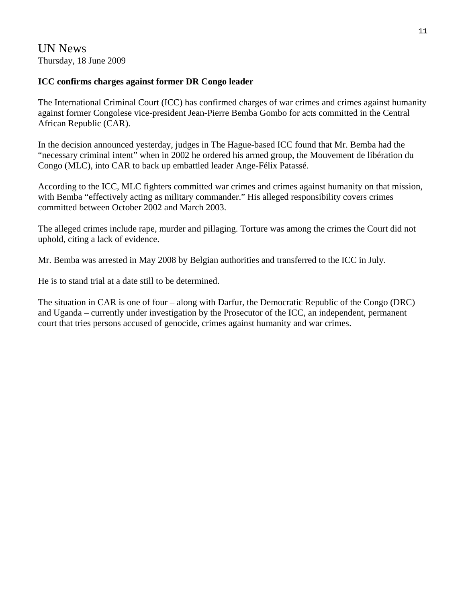## UN News Thursday, 18 June 2009

## **ICC confirms charges against former DR Congo leader**

The International Criminal Court (ICC) has confirmed charges of war crimes and crimes against humanity against former Congolese vice-president Jean-Pierre Bemba Gombo for acts committed in the Central African Republic (CAR).

In the decision announced yesterday, judges in The Hague-based ICC found that Mr. Bemba had the "necessary criminal intent" when in 2002 he ordered his armed group, the Mouvement de libération du Congo (MLC), into CAR to back up embattled leader Ange-Félix Patassé.

According to the ICC, MLC fighters committed war crimes and crimes against humanity on that mission, with Bemba "effectively acting as military commander." His alleged responsibility covers crimes committed between October 2002 and March 2003.

The alleged crimes include rape, murder and pillaging. Torture was among the crimes the Court did not uphold, citing a lack of evidence.

Mr. Bemba was arrested in May 2008 by Belgian authorities and transferred to the ICC in July.

He is to stand trial at a date still to be determined.

The situation in CAR is one of four – along with Darfur, the Democratic Republic of the Congo (DRC) and Uganda – currently under investigation by the Prosecutor of the ICC, an independent, permanent court that tries persons accused of genocide, crimes against humanity and war crimes.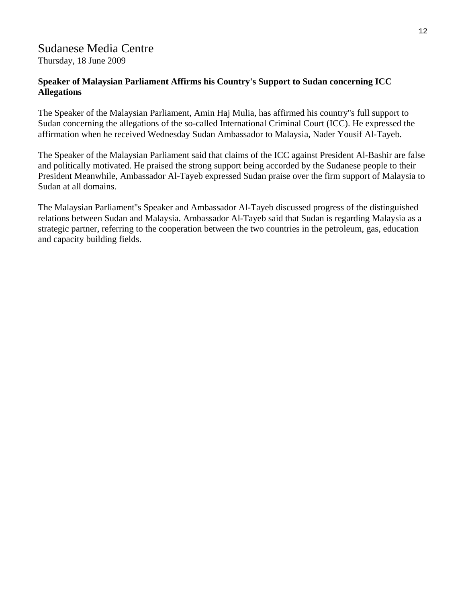## Sudanese Media Centre

Thursday, 18 June 2009

## **Speaker of Malaysian Parliament Affirms his Country's Support to Sudan concerning ICC Allegations**

The Speaker of the Malaysian Parliament, Amin Haj Mulia, has affirmed his country''s full support to Sudan concerning the allegations of the so-called International Criminal Court (ICC). He expressed the affirmation when he received Wednesday Sudan Ambassador to Malaysia, Nader Yousif Al-Tayeb.

The Speaker of the Malaysian Parliament said that claims of the ICC against President Al-Bashir are false and politically motivated. He praised the strong support being accorded by the Sudanese people to their President Meanwhile, Ambassador Al-Tayeb expressed Sudan praise over the firm support of Malaysia to Sudan at all domains.

The Malaysian Parliament''s Speaker and Ambassador Al-Tayeb discussed progress of the distinguished relations between Sudan and Malaysia. Ambassador Al-Tayeb said that Sudan is regarding Malaysia as a strategic partner, referring to the cooperation between the two countries in the petroleum, gas, education and capacity building fields.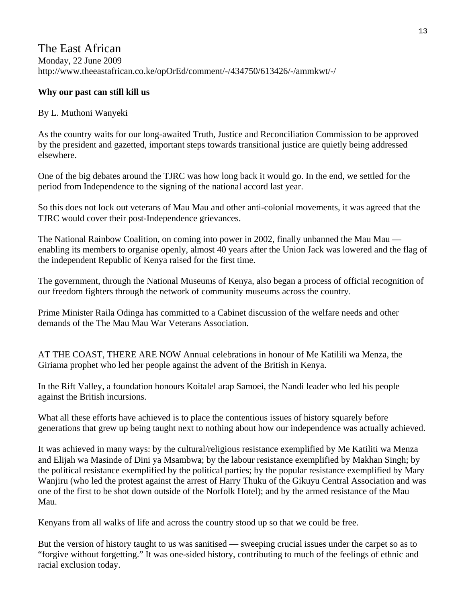## The East African Monday, 22 June 2009 http://www.theeastafrican.co.ke/opOrEd/comment/-/434750/613426/-/ammkwt/-/

## **Why our past can still kill us**

#### By L. Muthoni Wanyeki

As the country waits for our long-awaited Truth, Justice and Reconciliation Commission to be approved by the president and gazetted, important steps towards transitional justice are quietly being addressed elsewhere.

One of the big debates around the TJRC was how long back it would go. In the end, we settled for the period from Independence to the signing of the national accord last year.

So this does not lock out veterans of Mau Mau and other anti-colonial movements, it was agreed that the TJRC would cover their post-Independence grievances.

The National Rainbow Coalition, on coming into power in 2002, finally unbanned the Mau Mau enabling its members to organise openly, almost 40 years after the Union Jack was lowered and the flag of the independent Republic of Kenya raised for the first time.

The government, through the National Museums of Kenya, also began a process of official recognition of our freedom fighters through the network of community museums across the country.

Prime Minister Raila Odinga has committed to a Cabinet discussion of the welfare needs and other demands of the The Mau Mau War Veterans Association.

AT THE COAST, THERE ARE NOW Annual celebrations in honour of Me Katilili wa Menza, the Giriama prophet who led her people against the advent of the British in Kenya.

In the Rift Valley, a foundation honours Koitalel arap Samoei, the Nandi leader who led his people against the British incursions.

What all these efforts have achieved is to place the contentious issues of history squarely before generations that grew up being taught next to nothing about how our independence was actually achieved.

It was achieved in many ways: by the cultural/religious resistance exemplified by Me Katiliti wa Menza and Elijah wa Masinde of Dini ya Msambwa; by the labour resistance exemplified by Makhan Singh; by the political resistance exemplified by the political parties; by the popular resistance exemplified by Mary Wanjiru (who led the protest against the arrest of Harry Thuku of the Gikuyu Central Association and was one of the first to be shot down outside of the Norfolk Hotel); and by the armed resistance of the Mau Mau.

Kenyans from all walks of life and across the country stood up so that we could be free.

But the version of history taught to us was sanitised — sweeping crucial issues under the carpet so as to "forgive without forgetting." It was one-sided history, contributing to much of the feelings of ethnic and racial exclusion today.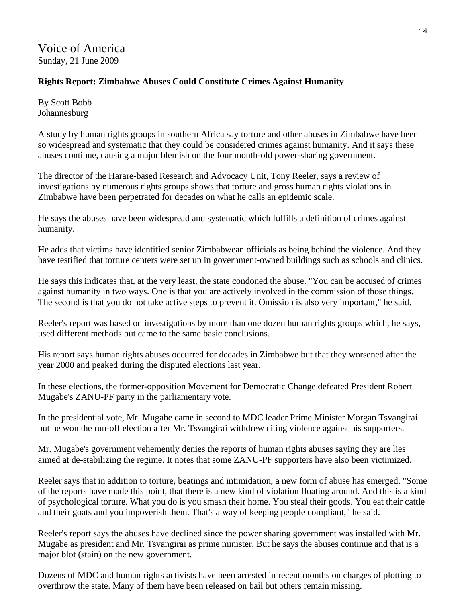Voice of America Sunday, 21 June 2009

## **Rights Report: Zimbabwe Abuses Could Constitute Crimes Against Humanity**

By Scott Bobb Johannesburg

A study by human rights groups in southern Africa say torture and other abuses in Zimbabwe have been so widespread and systematic that they could be considered crimes against humanity. And it says these abuses continue, causing a major blemish on the four month-old power-sharing government.

The director of the Harare-based Research and Advocacy Unit, Tony Reeler, says a review of investigations by numerous rights groups shows that torture and gross human rights violations in Zimbabwe have been perpetrated for decades on what he calls an epidemic scale.

He says the abuses have been widespread and systematic which fulfills a definition of crimes against humanity.

He adds that victims have identified senior Zimbabwean officials as being behind the violence. And they have testified that torture centers were set up in government-owned buildings such as schools and clinics.

He says this indicates that, at the very least, the state condoned the abuse. "You can be accused of crimes against humanity in two ways. One is that you are actively involved in the commission of those things. The second is that you do not take active steps to prevent it. Omission is also very important," he said.

Reeler's report was based on investigations by more than one dozen human rights groups which, he says, used different methods but came to the same basic conclusions.

His report says human rights abuses occurred for decades in Zimbabwe but that they worsened after the year 2000 and peaked during the disputed elections last year.

In these elections, the former-opposition Movement for Democratic Change defeated President Robert Mugabe's ZANU-PF party in the parliamentary vote.

In the presidential vote, Mr. Mugabe came in second to MDC leader Prime Minister Morgan Tsvangirai but he won the run-off election after Mr. Tsvangirai withdrew citing violence against his supporters.

Mr. Mugabe's government vehemently denies the reports of human rights abuses saying they are lies aimed at de-stabilizing the regime. It notes that some ZANU-PF supporters have also been victimized.

Reeler says that in addition to torture, beatings and intimidation, a new form of abuse has emerged. "Some of the reports have made this point, that there is a new kind of violation floating around. And this is a kind of psychological torture. What you do is you smash their home. You steal their goods. You eat their cattle and their goats and you impoverish them. That's a way of keeping people compliant," he said.

Reeler's report says the abuses have declined since the power sharing government was installed with Mr. Mugabe as president and Mr. Tsvangirai as prime minister. But he says the abuses continue and that is a major blot (stain) on the new government.

Dozens of MDC and human rights activists have been arrested in recent months on charges of plotting to overthrow the state. Many of them have been released on bail but others remain missing.